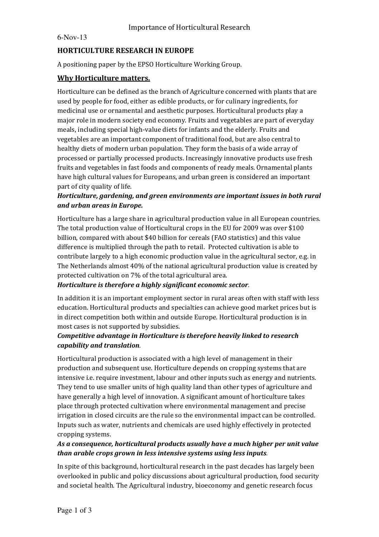6-Nov-13

# **HORTICULTURE RESEARCH IN EUROPE**

A positioning paper by the EPSO Horticulture Working Group.

### **Why Horticulture matters.**

Horticulture can be defined as the branch of Agriculture concerned with plants that are used by people for food, either as edible products, or for culinary ingredients, for medicinal use or ornamental and aesthetic purposes. Horticultural products play a major role in modern society end economy. Fruits and vegetables are part of everyday meals, including special high-value diets for infants and the elderly. Fruits and vegetables are an important component of traditional food, but are also central to healthy diets of modern urban population. They form the basis of a wide array of processed or partially processed products. Increasingly innovative products use fresh fruits and vegetables in fast foods and components of ready meals. Ornamental plants have high cultural values for Europeans, and urban green is considered an important part of city quality of life.

# *Horticulture, gardening, and green environments are important issues in both rural and urban areas in Europe.*

Horticulture has a large share in agricultural production value in all European countries. The total production value of Horticultural crops in the EU for 2009 was over \$100 billion, compared with about \$40 billion for cereals (FAO statistics) and this value difference is multiplied through the path to retail. Protected cultivation is able to contribute largely to a high economic production value in the agricultural sector, e.g. in The Netherlands almost 40% of the national agricultural production value is created by protected cultivation on 7% of the total agricultural area.

### *Horticulture is therefore a highly significant economic sector.*

In addition it is an important employment sector in rural areas often with staff with less education. Horticultural products and specialties can achieve good market prices but is in direct competition both within and outside Europe. Horticultural production is in most cases is not supported by subsidies.

# *Competitive advantage in Horticulture is therefore heavily linked to research capability and translation.*

Horticultural production is associated with a high level of management in their production and subsequent use. Horticulture depends on cropping systems that are intensive i.e. require investment, labour and other inputs such as energy and nutrients. They tend to use smaller units of high quality land than other types of agriculture and have generally a high level of innovation. A significant amount of horticulture takes place through protected cultivation where environmental management and precise irrigation in closed circuits are the rule so the environmental impact can be controlled. Inputs such as water, nutrients and chemicals are used highly effectively in protected cropping systems.

# *As a consequence, horticultural products usually have a much higher per unit value than arable crops grown in less intensive systems using less inputs.*

In spite of this background, horticultural research in the past decades has largely been overlooked in public and policy discussions about agricultural production, food security and societal health. The Agricultural industry, bioeconomy and genetic research focus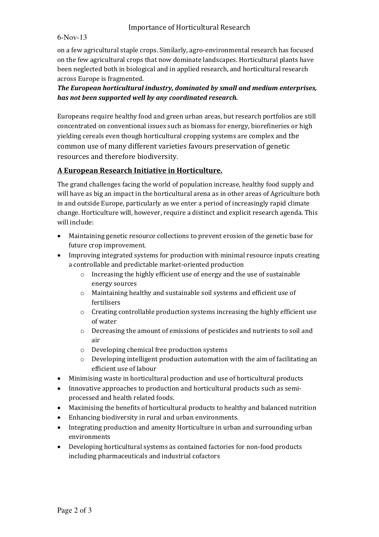### Importance of Horticultural Research

#### 6-Nov-13

on a few agricultural staple crops. Similarly, agro-environmental research has focused on the few agricultural crops that now dominate landscapes. Horticultural plants have been neglected both in biological and in applied research, and horticultural research across Europe is fragmented.

#### *The European horticultural industry, dominated by small and medium enterprises, has not been supported well by any coordinated research.*

Europeans require healthy food and green urban areas, but research portfolios are still concentrated on conventional issues such as biomass for energy, biorefineries or high yielding cereals even though horticultural cropping systems are complex and the common use of many different varieties favours preservation of genetic resources and therefore biodiversity.

### **A European Research Initiative in Horticulture.**

The grand challenges facing the world of population increase, healthy food supply and will have as big an impact in the horticultural arena as in other areas of Agriculture both in and outside Europe, particularly as we enter a period of increasingly rapid climate change. Horticulture will, however, require a distinct and explicit research agenda. This will include:

- Maintaining genetic resource collections to prevent erosion of the genetic base for future crop improvement.
- Improving integrated systems for production with minimal resource inputs creating a controllable and predictable market-oriented production
	- o Increasing the highly efficient use of energy and the use of sustainable energy sources
	- o Maintaining healthy and sustainable soil systems and efficient use of fertilisers
	- o Creating controllable production systems increasing the highly efficient use of water
	- o Decreasing the amount of emissions of pesticides and nutrients to soil and air
	- o Developing chemical free production systems
	- o Developing intelligent production automation with the aim of facilitating an efficient use of labour
- Minimising waste in horticultural production and use of horticultural products
- Innovative approaches to production and horticultural products such as semiprocessed and health related foods.
- Maximising the benefits of horticultural products to healthy and balanced nutrition
- Enhancing biodiversity in rural and urban environments.
- Integrating production and amenity Horticulture in urban and surrounding urban environments
- Developing horticultural systems as contained factories for non-food products including pharmaceuticals and industrial cofactors